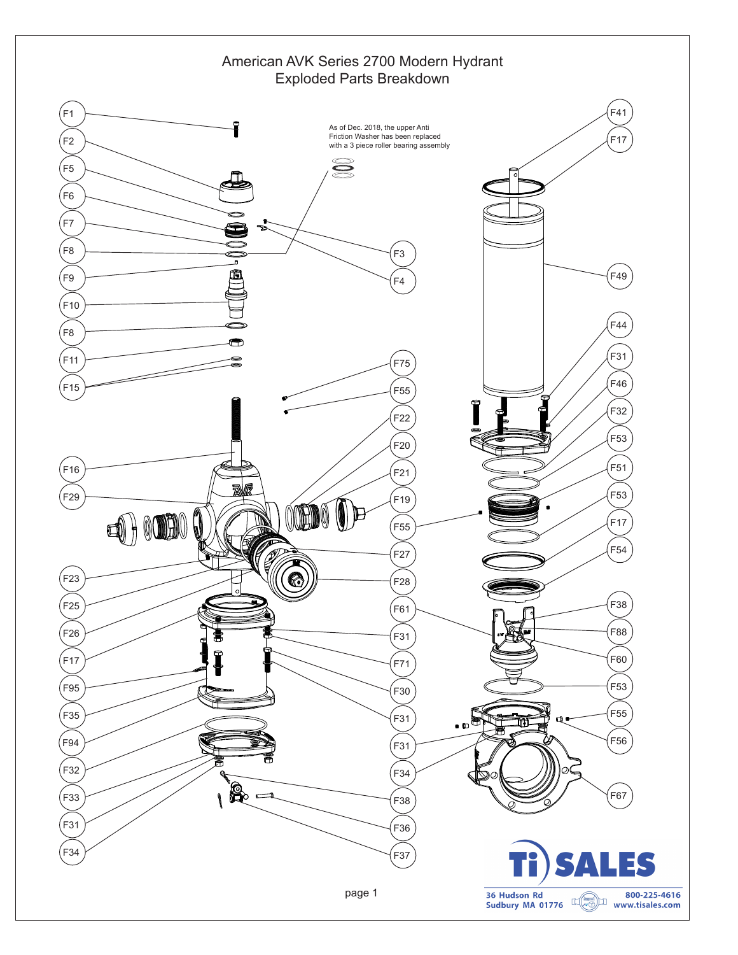